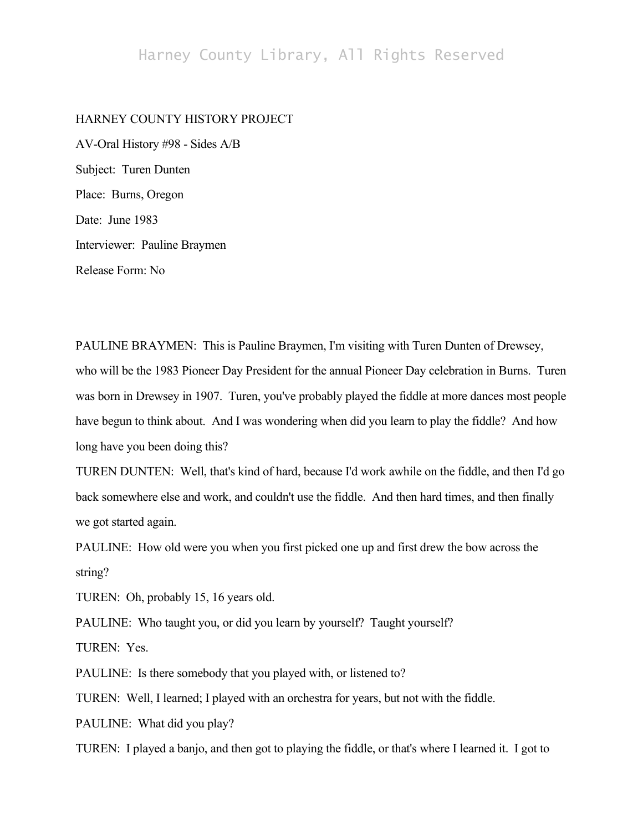## Harney County Library, All Rights Reserved

#### HARNEY COUNTY HISTORY PROJECT

AV-Oral History #98 - Sides A/B Subject: Turen Dunten Place: Burns, Oregon Date: June 1983 Interviewer: Pauline Braymen Release Form: No

PAULINE BRAYMEN: This is Pauline Braymen, I'm visiting with Turen Dunten of Drewsey, who will be the 1983 Pioneer Day President for the annual Pioneer Day celebration in Burns. Turen was born in Drewsey in 1907. Turen, you've probably played the fiddle at more dances most people have begun to think about. And I was wondering when did you learn to play the fiddle? And how long have you been doing this?

TUREN DUNTEN: Well, that's kind of hard, because I'd work awhile on the fiddle, and then I'd go back somewhere else and work, and couldn't use the fiddle. And then hard times, and then finally we got started again.

PAULINE: How old were you when you first picked one up and first drew the bow across the string?

TUREN: Oh, probably 15, 16 years old.

PAULINE: Who taught you, or did you learn by yourself? Taught yourself?

TUREN: Yes.

PAULINE: Is there somebody that you played with, or listened to?

TUREN: Well, I learned; I played with an orchestra for years, but not with the fiddle.

PAULINE: What did you play?

TUREN: I played a banjo, and then got to playing the fiddle, or that's where I learned it. I got to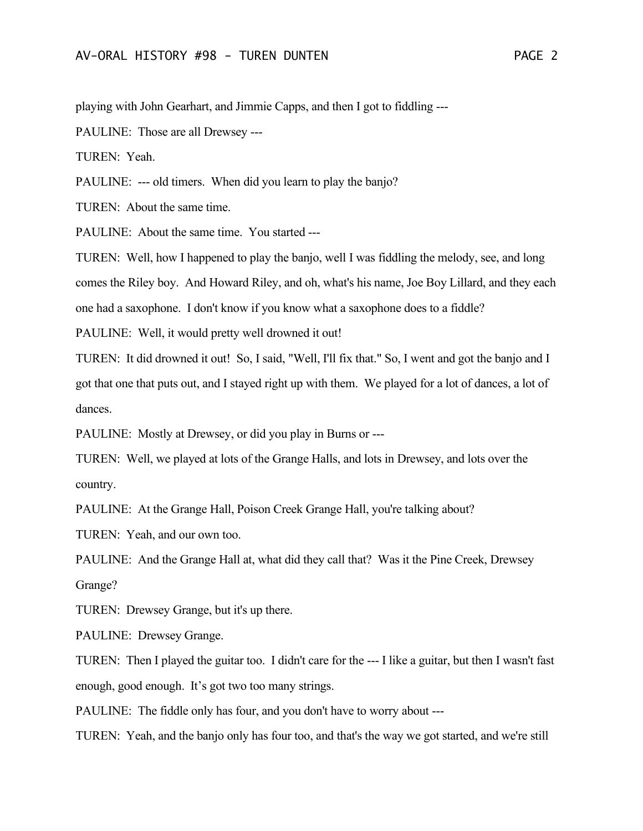playing with John Gearhart, and Jimmie Capps, and then I got to fiddling ---

PAULINE: Those are all Drewsey ---

TUREN: Yeah.

PAULINE: --- old timers. When did you learn to play the banjo?

TUREN: About the same time.

PAULINE: About the same time. You started ---

TUREN: Well, how I happened to play the banjo, well I was fiddling the melody, see, and long comes the Riley boy. And Howard Riley, and oh, what's his name, Joe Boy Lillard, and they each one had a saxophone. I don't know if you know what a saxophone does to a fiddle?

PAULINE: Well, it would pretty well drowned it out!

TUREN: It did drowned it out! So, I said, "Well, I'll fix that." So, I went and got the banjo and I got that one that puts out, and I stayed right up with them. We played for a lot of dances, a lot of dances.

PAULINE: Mostly at Drewsey, or did you play in Burns or ---

TUREN: Well, we played at lots of the Grange Halls, and lots in Drewsey, and lots over the country.

PAULINE: At the Grange Hall, Poison Creek Grange Hall, you're talking about?

TUREN: Yeah, and our own too.

PAULINE: And the Grange Hall at, what did they call that? Was it the Pine Creek, Drewsey Grange?

TUREN: Drewsey Grange, but it's up there.

PAULINE: Drewsey Grange.

TUREN: Then I played the guitar too. I didn't care for the --- I like a guitar, but then I wasn't fast enough, good enough. It's got two too many strings.

PAULINE: The fiddle only has four, and you don't have to worry about ---

TUREN: Yeah, and the banjo only has four too, and that's the way we got started, and we're still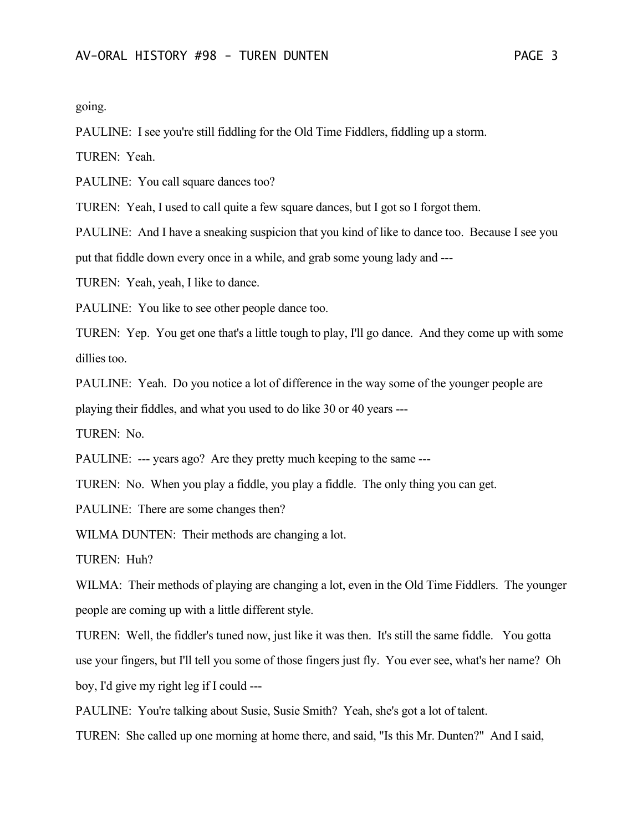going.

PAULINE: I see you're still fiddling for the Old Time Fiddlers, fiddling up a storm.

TUREN: Yeah.

PAULINE: You call square dances too?

TUREN: Yeah, I used to call quite a few square dances, but I got so I forgot them.

PAULINE: And I have a sneaking suspicion that you kind of like to dance too. Because I see you put that fiddle down every once in a while, and grab some young lady and ---

TUREN: Yeah, yeah, I like to dance.

PAULINE: You like to see other people dance too.

TUREN: Yep. You get one that's a little tough to play, I'll go dance. And they come up with some dillies too.

PAULINE: Yeah. Do you notice a lot of difference in the way some of the younger people are

playing their fiddles, and what you used to do like 30 or 40 years ---

TUREN: No.

PAULINE: --- years ago? Are they pretty much keeping to the same ---

TUREN: No. When you play a fiddle, you play a fiddle. The only thing you can get.

PAULINE: There are some changes then?

WILMA DUNTEN: Their methods are changing a lot.

TUREN: Huh?

WILMA: Their methods of playing are changing a lot, even in the Old Time Fiddlers. The younger people are coming up with a little different style.

TUREN: Well, the fiddler's tuned now, just like it was then. It's still the same fiddle. You gotta use your fingers, but I'll tell you some of those fingers just fly. You ever see, what's her name? Oh boy, I'd give my right leg if I could ---

PAULINE: You're talking about Susie, Susie Smith? Yeah, she's got a lot of talent.

TUREN: She called up one morning at home there, and said, "Is this Mr. Dunten?" And I said,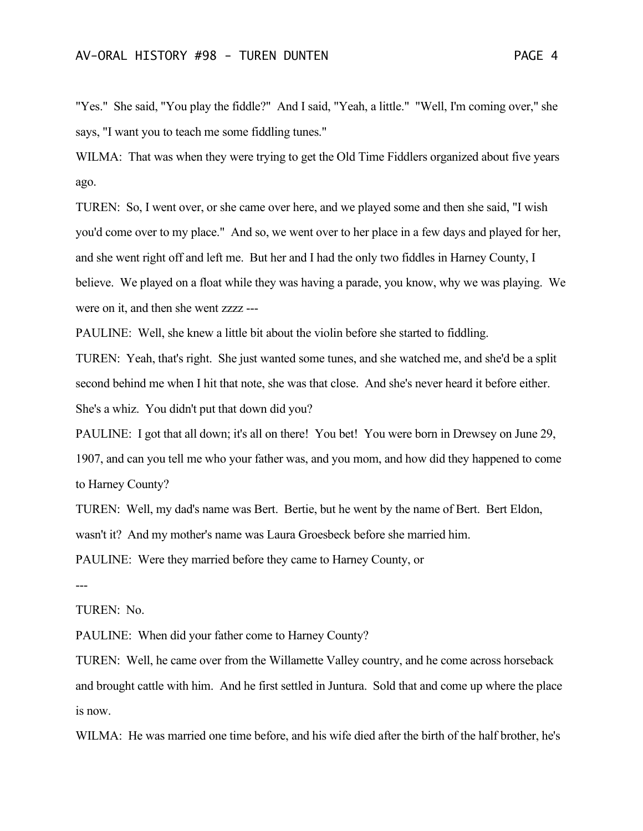"Yes." She said, "You play the fiddle?" And I said, "Yeah, a little." "Well, I'm coming over," she says, "I want you to teach me some fiddling tunes."

WILMA: That was when they were trying to get the Old Time Fiddlers organized about five years ago.

TUREN: So, I went over, or she came over here, and we played some and then she said, "I wish you'd come over to my place." And so, we went over to her place in a few days and played for her, and she went right off and left me. But her and I had the only two fiddles in Harney County, I believe. We played on a float while they was having a parade, you know, why we was playing. We were on it, and then she went zzzz ---

PAULINE: Well, she knew a little bit about the violin before she started to fiddling.

TUREN: Yeah, that's right. She just wanted some tunes, and she watched me, and she'd be a split second behind me when I hit that note, she was that close. And she's never heard it before either. She's a whiz. You didn't put that down did you?

PAULINE: I got that all down; it's all on there! You bet! You were born in Drewsey on June 29, 1907, and can you tell me who your father was, and you mom, and how did they happened to come to Harney County?

TUREN: Well, my dad's name was Bert. Bertie, but he went by the name of Bert. Bert Eldon, wasn't it? And my mother's name was Laura Groesbeck before she married him.

PAULINE: Were they married before they came to Harney County, or

---

#### TUREN: No.

PAULINE: When did your father come to Harney County?

TUREN: Well, he came over from the Willamette Valley country, and he come across horseback and brought cattle with him. And he first settled in Juntura. Sold that and come up where the place is now.

WILMA: He was married one time before, and his wife died after the birth of the half brother, he's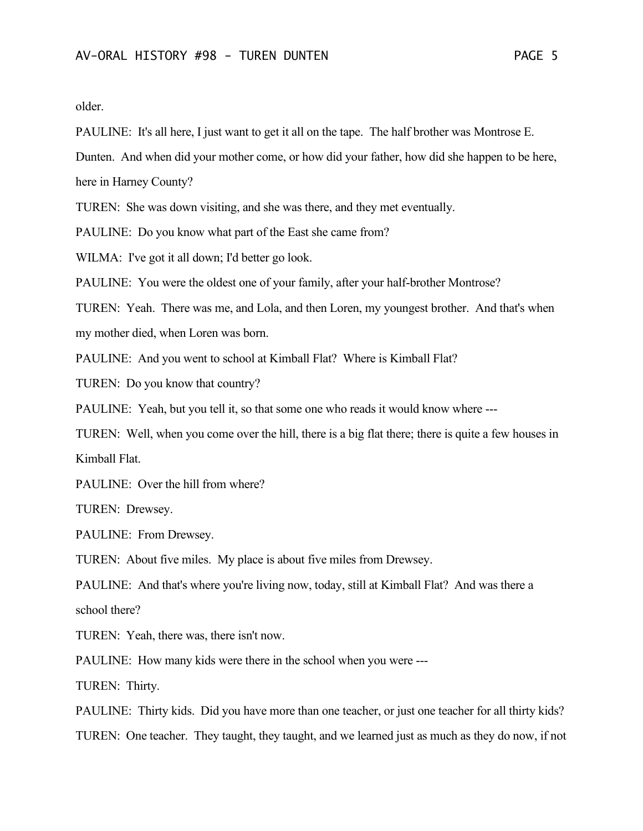older.

PAULINE: It's all here, I just want to get it all on the tape. The half brother was Montrose E.

Dunten. And when did your mother come, or how did your father, how did she happen to be here,

here in Harney County?

TUREN: She was down visiting, and she was there, and they met eventually.

PAULINE: Do you know what part of the East she came from?

WILMA: I've got it all down; I'd better go look.

PAULINE: You were the oldest one of your family, after your half-brother Montrose?

TUREN: Yeah. There was me, and Lola, and then Loren, my youngest brother. And that's when my mother died, when Loren was born.

PAULINE: And you went to school at Kimball Flat? Where is Kimball Flat?

TUREN: Do you know that country?

PAULINE: Yeah, but you tell it, so that some one who reads it would know where ---

TUREN: Well, when you come over the hill, there is a big flat there; there is quite a few houses in Kimball Flat.

PAULINE: Over the hill from where?

TUREN: Drewsey.

PAULINE: From Drewsey.

TUREN: About five miles. My place is about five miles from Drewsey.

PAULINE: And that's where you're living now, today, still at Kimball Flat? And was there a school there?

TUREN: Yeah, there was, there isn't now.

PAULINE: How many kids were there in the school when you were ---

TUREN: Thirty.

PAULINE: Thirty kids. Did you have more than one teacher, or just one teacher for all thirty kids?

TUREN: One teacher. They taught, they taught, and we learned just as much as they do now, if not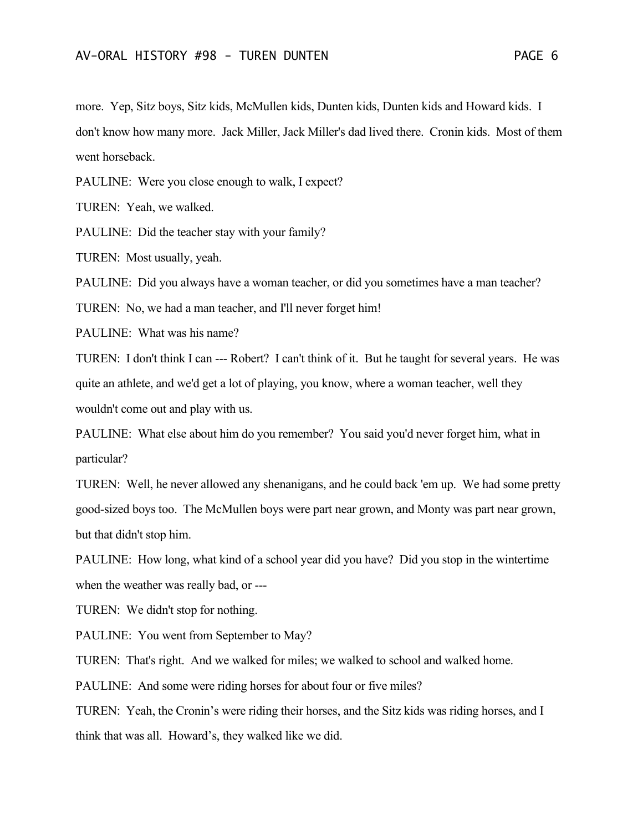more. Yep, Sitz boys, Sitz kids, McMullen kids, Dunten kids, Dunten kids and Howard kids. I don't know how many more. Jack Miller, Jack Miller's dad lived there. Cronin kids. Most of them went horseback.

PAULINE: Were you close enough to walk, I expect?

TUREN: Yeah, we walked.

PAULINE: Did the teacher stay with your family?

TUREN: Most usually, yeah.

PAULINE: Did you always have a woman teacher, or did you sometimes have a man teacher?

TUREN: No, we had a man teacher, and I'll never forget him!

PAULINE: What was his name?

TUREN: I don't think I can --- Robert? I can't think of it. But he taught for several years. He was quite an athlete, and we'd get a lot of playing, you know, where a woman teacher, well they wouldn't come out and play with us.

PAULINE: What else about him do you remember? You said you'd never forget him, what in particular?

TUREN: Well, he never allowed any shenanigans, and he could back 'em up. We had some pretty good-sized boys too. The McMullen boys were part near grown, and Monty was part near grown, but that didn't stop him.

PAULINE: How long, what kind of a school year did you have? Did you stop in the wintertime when the weather was really bad, or ---

TUREN: We didn't stop for nothing.

PAULINE: You went from September to May?

TUREN: That's right. And we walked for miles; we walked to school and walked home.

PAULINE: And some were riding horses for about four or five miles?

TUREN: Yeah, the Cronin's were riding their horses, and the Sitz kids was riding horses, and I think that was all. Howard's, they walked like we did.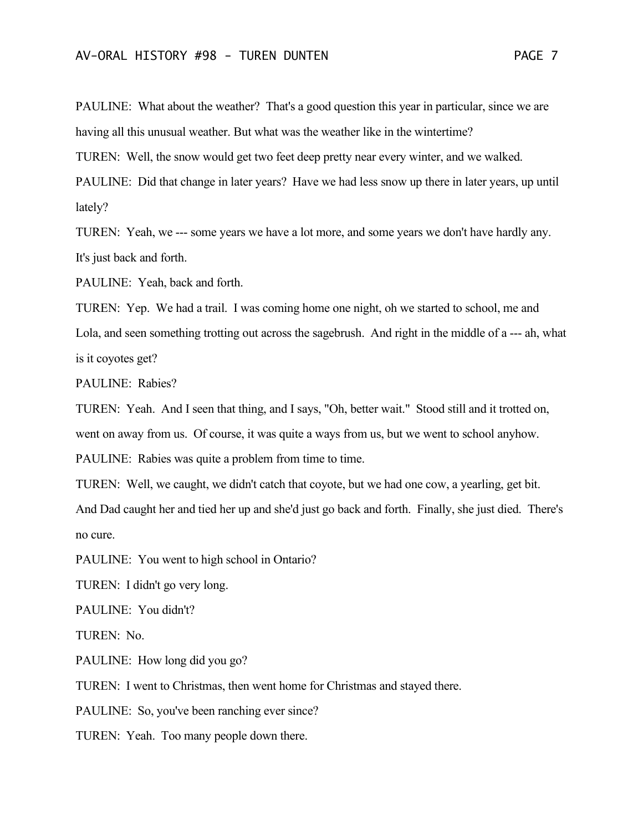PAULINE: What about the weather? That's a good question this year in particular, since we are having all this unusual weather. But what was the weather like in the wintertime?

TUREN: Well, the snow would get two feet deep pretty near every winter, and we walked.

PAULINE: Did that change in later years? Have we had less snow up there in later years, up until lately?

TUREN: Yeah, we --- some years we have a lot more, and some years we don't have hardly any. It's just back and forth.

PAULINE: Yeah, back and forth.

TUREN: Yep. We had a trail. I was coming home one night, oh we started to school, me and Lola, and seen something trotting out across the sagebrush. And right in the middle of a --- ah, what is it coyotes get?

PAULINE: Rabies?

TUREN: Yeah. And I seen that thing, and I says, "Oh, better wait." Stood still and it trotted on, went on away from us. Of course, it was quite a ways from us, but we went to school anyhow. PAULINE: Rabies was quite a problem from time to time.

TUREN: Well, we caught, we didn't catch that coyote, but we had one cow, a yearling, get bit. And Dad caught her and tied her up and she'd just go back and forth. Finally, she just died. There's no cure.

PAULINE: You went to high school in Ontario?

TUREN: I didn't go very long.

PAULINE: You didn't?

TUREN: No.

PAULINE: How long did you go?

TUREN: I went to Christmas, then went home for Christmas and stayed there.

PAULINE: So, you've been ranching ever since?

TUREN: Yeah. Too many people down there.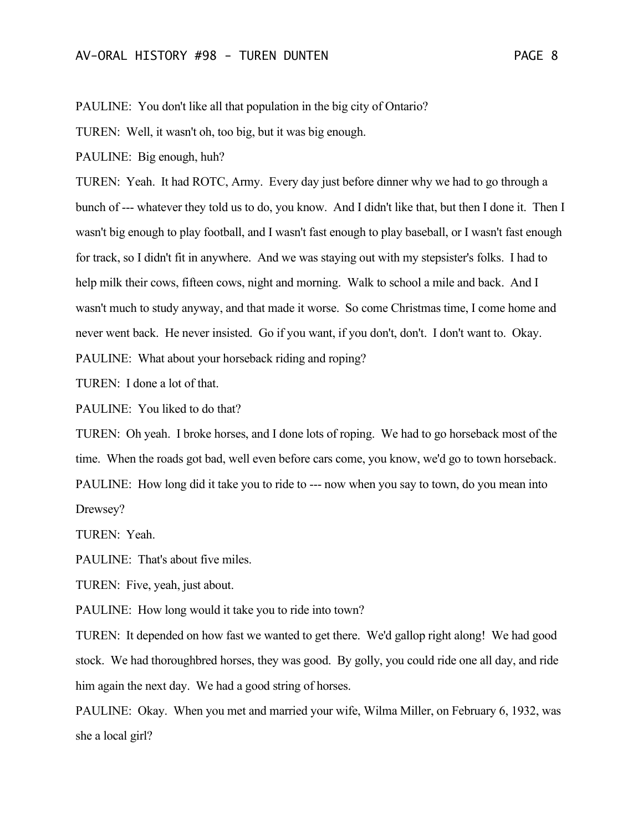PAULINE: You don't like all that population in the big city of Ontario?

TUREN: Well, it wasn't oh, too big, but it was big enough.

PAULINE: Big enough, huh?

TUREN: Yeah. It had ROTC, Army. Every day just before dinner why we had to go through a bunch of --- whatever they told us to do, you know. And I didn't like that, but then I done it. Then I wasn't big enough to play football, and I wasn't fast enough to play baseball, or I wasn't fast enough for track, so I didn't fit in anywhere. And we was staying out with my stepsister's folks. I had to help milk their cows, fifteen cows, night and morning. Walk to school a mile and back. And I wasn't much to study anyway, and that made it worse. So come Christmas time, I come home and never went back. He never insisted. Go if you want, if you don't, don't. I don't want to. Okay. PAULINE: What about your horseback riding and roping?

TUREN: I done a lot of that.

PAULINE: You liked to do that?

TUREN: Oh yeah. I broke horses, and I done lots of roping. We had to go horseback most of the time. When the roads got bad, well even before cars come, you know, we'd go to town horseback. PAULINE: How long did it take you to ride to --- now when you say to town, do you mean into Drewsey?

TUREN: Yeah.

PAULINE: That's about five miles.

TUREN: Five, yeah, just about.

PAULINE: How long would it take you to ride into town?

TUREN: It depended on how fast we wanted to get there. We'd gallop right along! We had good stock. We had thoroughbred horses, they was good. By golly, you could ride one all day, and ride him again the next day. We had a good string of horses.

PAULINE: Okay. When you met and married your wife, Wilma Miller, on February 6, 1932, was she a local girl?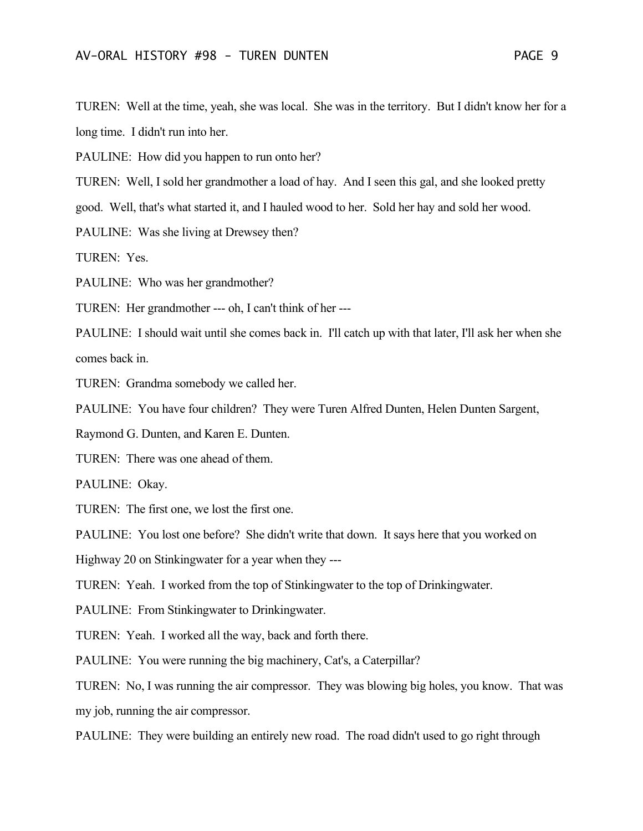TUREN: Well at the time, yeah, she was local. She was in the territory. But I didn't know her for a long time. I didn't run into her.

PAULINE: How did you happen to run onto her?

TUREN: Well, I sold her grandmother a load of hay. And I seen this gal, and she looked pretty

good. Well, that's what started it, and I hauled wood to her. Sold her hay and sold her wood.

PAULINE: Was she living at Drewsey then?

TUREN: Yes.

PAULINE: Who was her grandmother?

TUREN: Her grandmother --- oh, I can't think of her ---

PAULINE: I should wait until she comes back in. I'll catch up with that later, I'll ask her when she comes back in.

TUREN: Grandma somebody we called her.

PAULINE: You have four children? They were Turen Alfred Dunten, Helen Dunten Sargent,

Raymond G. Dunten, and Karen E. Dunten.

TUREN: There was one ahead of them.

PAULINE: Okay.

TUREN: The first one, we lost the first one.

PAULINE: You lost one before? She didn't write that down. It says here that you worked on

Highway 20 on Stinkingwater for a year when they ---

TUREN: Yeah. I worked from the top of Stinkingwater to the top of Drinkingwater.

PAULINE: From Stinkingwater to Drinkingwater.

TUREN: Yeah. I worked all the way, back and forth there.

PAULINE: You were running the big machinery, Cat's, a Caterpillar?

TUREN: No, I was running the air compressor. They was blowing big holes, you know. That was my job, running the air compressor.

PAULINE: They were building an entirely new road. The road didn't used to go right through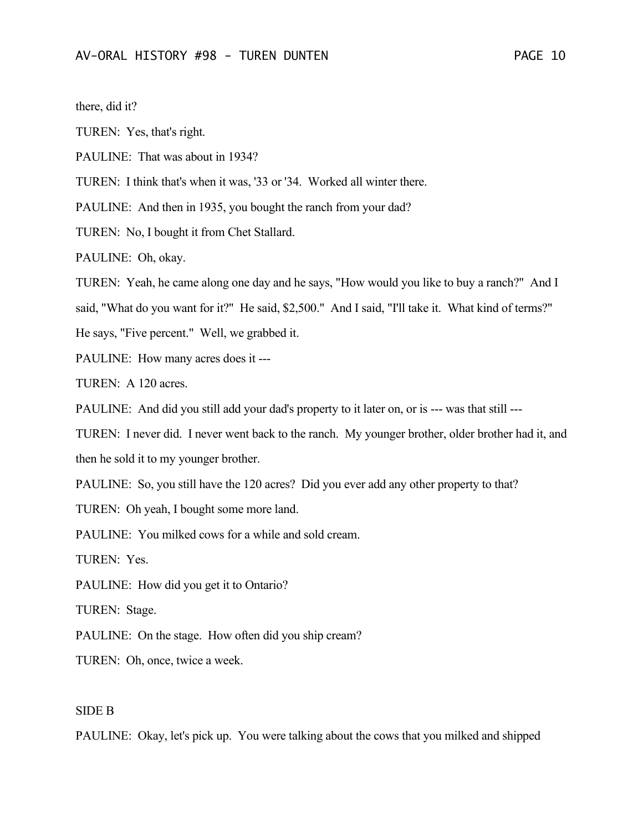there, did it?

TUREN: Yes, that's right.

PAULINE: That was about in 1934?

TUREN: I think that's when it was, '33 or '34. Worked all winter there.

PAULINE: And then in 1935, you bought the ranch from your dad?

TUREN: No, I bought it from Chet Stallard.

PAULINE: Oh, okay.

TUREN: Yeah, he came along one day and he says, "How would you like to buy a ranch?" And I

said, "What do you want for it?" He said, \$2,500." And I said, "I'll take it. What kind of terms?"

He says, "Five percent." Well, we grabbed it.

PAULINE: How many acres does it ---

TUREN: A 120 acres.

PAULINE: And did you still add your dad's property to it later on, or is --- was that still ---

TUREN: I never did. I never went back to the ranch. My younger brother, older brother had it, and then he sold it to my younger brother.

PAULINE: So, you still have the 120 acres? Did you ever add any other property to that?

TUREN: Oh yeah, I bought some more land.

PAULINE: You milked cows for a while and sold cream.

TUREN: Yes.

PAULINE: How did you get it to Ontario?

TUREN: Stage.

PAULINE: On the stage. How often did you ship cream?

TUREN: Oh, once, twice a week.

### SIDE B

PAULINE: Okay, let's pick up. You were talking about the cows that you milked and shipped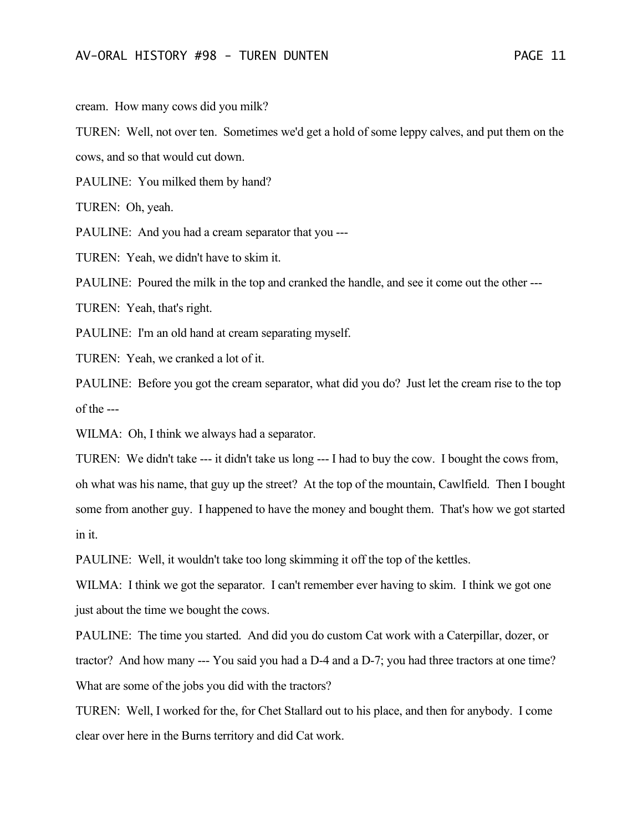cream. How many cows did you milk?

TUREN: Well, not over ten. Sometimes we'd get a hold of some leppy calves, and put them on the cows, and so that would cut down.

PAULINE: You milked them by hand?

TUREN: Oh, yeah.

PAULINE: And you had a cream separator that you ---

TUREN: Yeah, we didn't have to skim it.

PAULINE: Poured the milk in the top and cranked the handle, and see it come out the other ---

TUREN: Yeah, that's right.

PAULINE: I'm an old hand at cream separating myself.

TUREN: Yeah, we cranked a lot of it.

PAULINE: Before you got the cream separator, what did you do? Just let the cream rise to the top of the ---

WILMA: Oh, I think we always had a separator.

TUREN: We didn't take --- it didn't take us long --- I had to buy the cow. I bought the cows from, oh what was his name, that guy up the street? At the top of the mountain, Cawlfield. Then I bought some from another guy. I happened to have the money and bought them. That's how we got started in it.

PAULINE: Well, it wouldn't take too long skimming it off the top of the kettles.

WILMA: I think we got the separator. I can't remember ever having to skim. I think we got one just about the time we bought the cows.

PAULINE: The time you started. And did you do custom Cat work with a Caterpillar, dozer, or tractor? And how many --- You said you had a D-4 and a D-7; you had three tractors at one time? What are some of the jobs you did with the tractors?

TUREN: Well, I worked for the, for Chet Stallard out to his place, and then for anybody. I come clear over here in the Burns territory and did Cat work.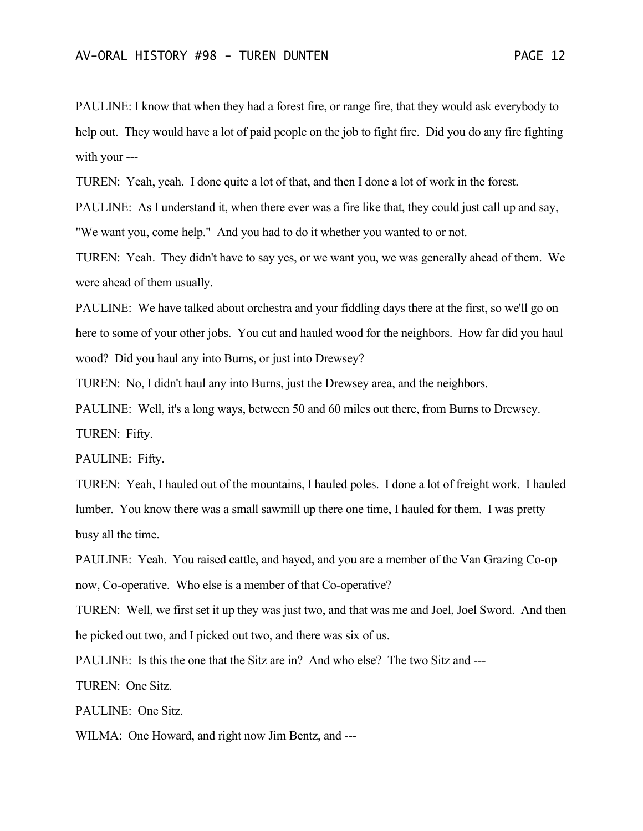PAULINE: I know that when they had a forest fire, or range fire, that they would ask everybody to help out. They would have a lot of paid people on the job to fight fire. Did you do any fire fighting with your ---

TUREN: Yeah, yeah. I done quite a lot of that, and then I done a lot of work in the forest.

PAULINE: As I understand it, when there ever was a fire like that, they could just call up and say, "We want you, come help." And you had to do it whether you wanted to or not.

TUREN: Yeah. They didn't have to say yes, or we want you, we was generally ahead of them. We were ahead of them usually.

PAULINE: We have talked about orchestra and your fiddling days there at the first, so we'll go on here to some of your other jobs. You cut and hauled wood for the neighbors. How far did you haul wood? Did you haul any into Burns, or just into Drewsey?

TUREN: No, I didn't haul any into Burns, just the Drewsey area, and the neighbors.

PAULINE: Well, it's a long ways, between 50 and 60 miles out there, from Burns to Drewsey.

TUREN: Fifty.

PAULINE: Fifty.

TUREN: Yeah, I hauled out of the mountains, I hauled poles. I done a lot of freight work. I hauled lumber. You know there was a small sawmill up there one time, I hauled for them. I was pretty busy all the time.

PAULINE: Yeah. You raised cattle, and hayed, and you are a member of the Van Grazing Co-op now, Co-operative. Who else is a member of that Co-operative?

TUREN: Well, we first set it up they was just two, and that was me and Joel, Joel Sword. And then he picked out two, and I picked out two, and there was six of us.

PAULINE: Is this the one that the Sitz are in? And who else? The two Sitz and ---

TUREN: One Sitz.

PAULINE: One Sitz.

WILMA: One Howard, and right now Jim Bentz, and ---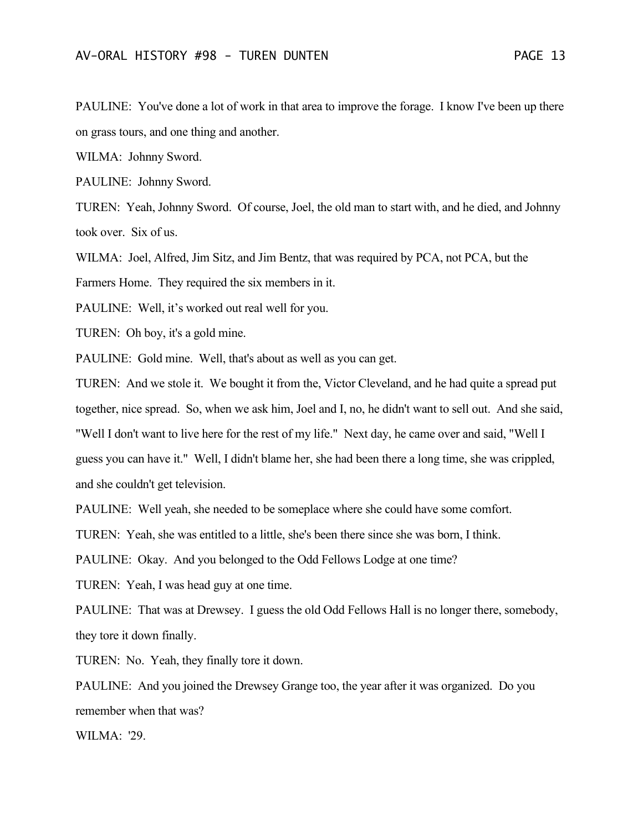PAULINE: You've done a lot of work in that area to improve the forage. I know I've been up there on grass tours, and one thing and another.

WILMA: Johnny Sword.

PAULINE: Johnny Sword.

TUREN: Yeah, Johnny Sword. Of course, Joel, the old man to start with, and he died, and Johnny took over. Six of us.

WILMA: Joel, Alfred, Jim Sitz, and Jim Bentz, that was required by PCA, not PCA, but the

Farmers Home. They required the six members in it.

PAULINE: Well, it's worked out real well for you.

TUREN: Oh boy, it's a gold mine.

PAULINE: Gold mine. Well, that's about as well as you can get.

TUREN: And we stole it. We bought it from the, Victor Cleveland, and he had quite a spread put together, nice spread. So, when we ask him, Joel and I, no, he didn't want to sell out. And she said, "Well I don't want to live here for the rest of my life." Next day, he came over and said, "Well I guess you can have it." Well, I didn't blame her, she had been there a long time, she was crippled, and she couldn't get television.

PAULINE: Well yeah, she needed to be someplace where she could have some comfort.

TUREN: Yeah, she was entitled to a little, she's been there since she was born, I think.

PAULINE: Okay. And you belonged to the Odd Fellows Lodge at one time?

TUREN: Yeah, I was head guy at one time.

PAULINE: That was at Drewsey. I guess the old Odd Fellows Hall is no longer there, somebody, they tore it down finally.

TUREN: No. Yeah, they finally tore it down.

PAULINE: And you joined the Drewsey Grange too, the year after it was organized. Do you remember when that was?

WILMA: '29.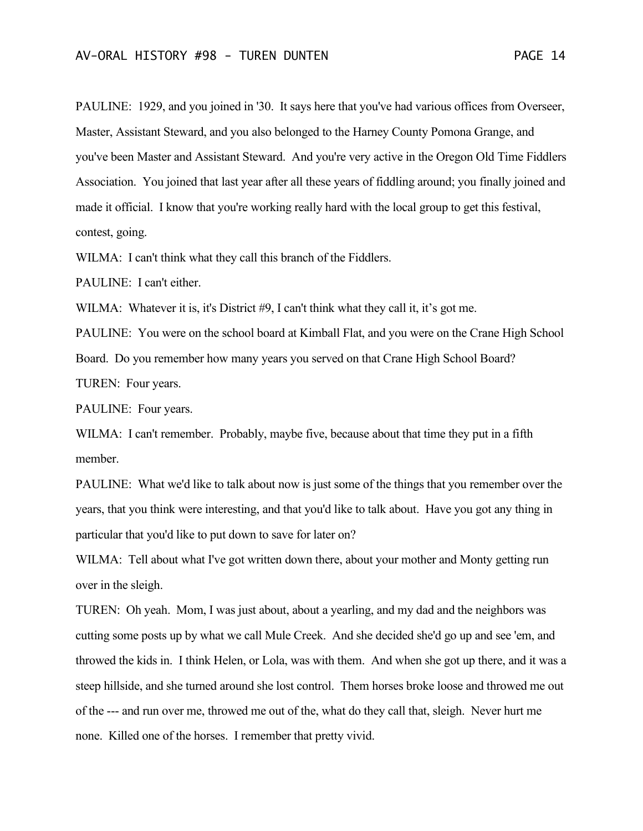PAULINE: 1929, and you joined in '30. It says here that you've had various offices from Overseer, Master, Assistant Steward, and you also belonged to the Harney County Pomona Grange, and you've been Master and Assistant Steward. And you're very active in the Oregon Old Time Fiddlers Association. You joined that last year after all these years of fiddling around; you finally joined and made it official. I know that you're working really hard with the local group to get this festival, contest, going.

WILMA: I can't think what they call this branch of the Fiddlers.

PAULINE: I can't either.

WILMA: Whatever it is, it's District #9, I can't think what they call it, it's got me.

PAULINE: You were on the school board at Kimball Flat, and you were on the Crane High School Board. Do you remember how many years you served on that Crane High School Board? TUREN: Four years.

PAULINE: Four years.

WILMA: I can't remember. Probably, maybe five, because about that time they put in a fifth member.

PAULINE: What we'd like to talk about now is just some of the things that you remember over the years, that you think were interesting, and that you'd like to talk about. Have you got any thing in particular that you'd like to put down to save for later on?

WILMA: Tell about what I've got written down there, about your mother and Monty getting run over in the sleigh.

TUREN: Oh yeah. Mom, I was just about, about a yearling, and my dad and the neighbors was cutting some posts up by what we call Mule Creek. And she decided she'd go up and see 'em, and throwed the kids in. I think Helen, or Lola, was with them. And when she got up there, and it was a steep hillside, and she turned around she lost control. Them horses broke loose and throwed me out of the --- and run over me, throwed me out of the, what do they call that, sleigh. Never hurt me none. Killed one of the horses. I remember that pretty vivid.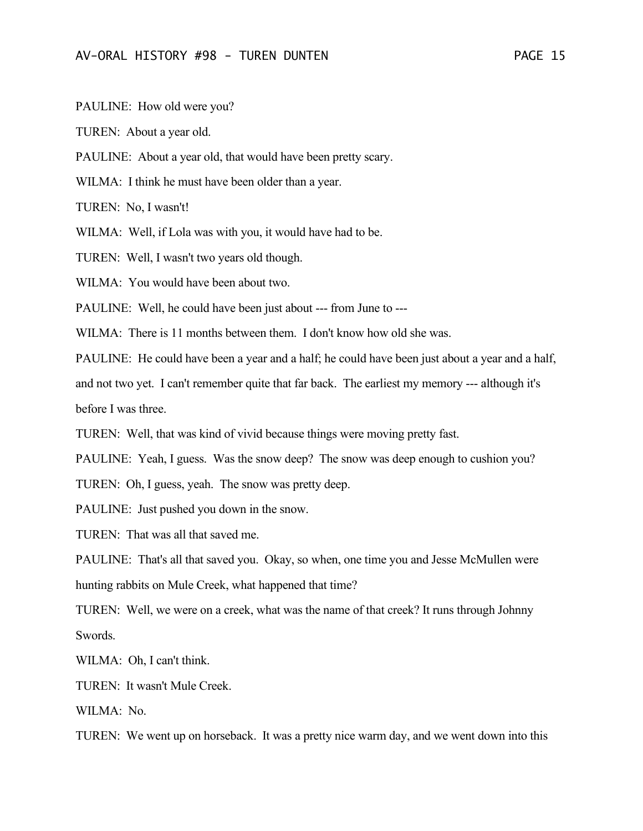PAULINE: How old were you?

TUREN: About a year old.

PAULINE: About a year old, that would have been pretty scary.

WILMA: I think he must have been older than a year.

TUREN: No, I wasn't!

WILMA: Well, if Lola was with you, it would have had to be.

TUREN: Well, I wasn't two years old though.

WILMA: You would have been about two.

PAULINE: Well, he could have been just about --- from June to ---

WILMA: There is 11 months between them. I don't know how old she was.

PAULINE: He could have been a year and a half; he could have been just about a year and a half,

and not two yet. I can't remember quite that far back. The earliest my memory --- although it's before I was three.

TUREN: Well, that was kind of vivid because things were moving pretty fast.

PAULINE: Yeah, I guess. Was the snow deep? The snow was deep enough to cushion you?

TUREN: Oh, I guess, yeah. The snow was pretty deep.

PAULINE: Just pushed you down in the snow.

TUREN: That was all that saved me.

PAULINE: That's all that saved you. Okay, so when, one time you and Jesse McMullen were hunting rabbits on Mule Creek, what happened that time?

TUREN: Well, we were on a creek, what was the name of that creek? It runs through Johnny Swords.

WILMA: Oh, I can't think.

TUREN: It wasn't Mule Creek.

WILMA: No.

TUREN: We went up on horseback. It was a pretty nice warm day, and we went down into this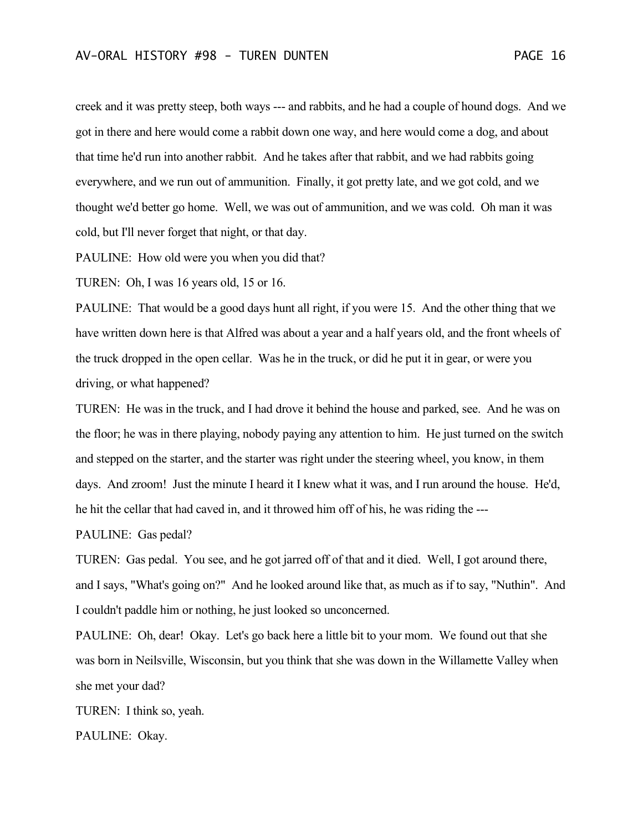creek and it was pretty steep, both ways --- and rabbits, and he had a couple of hound dogs. And we got in there and here would come a rabbit down one way, and here would come a dog, and about that time he'd run into another rabbit. And he takes after that rabbit, and we had rabbits going everywhere, and we run out of ammunition. Finally, it got pretty late, and we got cold, and we thought we'd better go home. Well, we was out of ammunition, and we was cold. Oh man it was cold, but I'll never forget that night, or that day.

PAULINE: How old were you when you did that?

TUREN: Oh, I was 16 years old, 15 or 16.

PAULINE: That would be a good days hunt all right, if you were 15. And the other thing that we have written down here is that Alfred was about a year and a half years old, and the front wheels of the truck dropped in the open cellar. Was he in the truck, or did he put it in gear, or were you driving, or what happened?

TUREN: He was in the truck, and I had drove it behind the house and parked, see. And he was on the floor; he was in there playing, nobody paying any attention to him. He just turned on the switch and stepped on the starter, and the starter was right under the steering wheel, you know, in them days. And zroom! Just the minute I heard it I knew what it was, and I run around the house. He'd, he hit the cellar that had caved in, and it throwed him off of his, he was riding the ---

PAULINE: Gas pedal?

TUREN: Gas pedal. You see, and he got jarred off of that and it died. Well, I got around there, and I says, "What's going on?" And he looked around like that, as much as if to say, "Nuthin". And I couldn't paddle him or nothing, he just looked so unconcerned.

PAULINE: Oh, dear! Okay. Let's go back here a little bit to your mom. We found out that she was born in Neilsville, Wisconsin, but you think that she was down in the Willamette Valley when she met your dad?

TUREN: I think so, yeah.

PAULINE: Okay.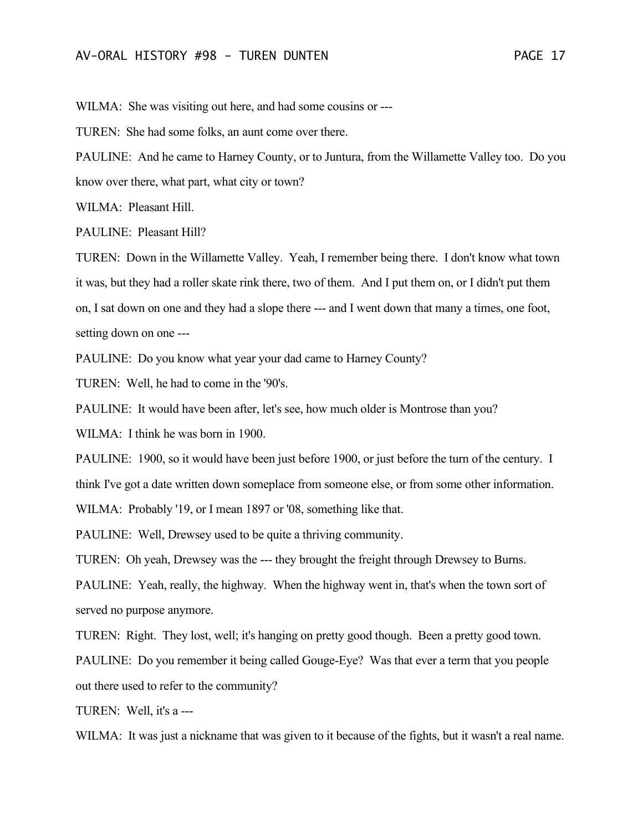WILMA: She was visiting out here, and had some cousins or ---

TUREN: She had some folks, an aunt come over there.

PAULINE: And he came to Harney County, or to Juntura, from the Willamette Valley too. Do you know over there, what part, what city or town?

WILMA: Pleasant Hill.

PAULINE: Pleasant Hill?

TUREN: Down in the Willamette Valley. Yeah, I remember being there. I don't know what town it was, but they had a roller skate rink there, two of them. And I put them on, or I didn't put them on, I sat down on one and they had a slope there --- and I went down that many a times, one foot, setting down on one ---

PAULINE: Do you know what year your dad came to Harney County?

TUREN: Well, he had to come in the '90's.

PAULINE: It would have been after, let's see, how much older is Montrose than you?

WILMA: I think he was born in 1900.

PAULINE: 1900, so it would have been just before 1900, or just before the turn of the century. I think I've got a date written down someplace from someone else, or from some other information.

WILMA: Probably '19, or I mean 1897 or '08, something like that.

PAULINE: Well, Drewsey used to be quite a thriving community.

TUREN: Oh yeah, Drewsey was the --- they brought the freight through Drewsey to Burns.

PAULINE: Yeah, really, the highway. When the highway went in, that's when the town sort of served no purpose anymore.

TUREN: Right. They lost, well; it's hanging on pretty good though. Been a pretty good town.

PAULINE: Do you remember it being called Gouge-Eye? Was that ever a term that you people out there used to refer to the community?

TUREN: Well, it's a ---

WILMA: It was just a nickname that was given to it because of the fights, but it wasn't a real name.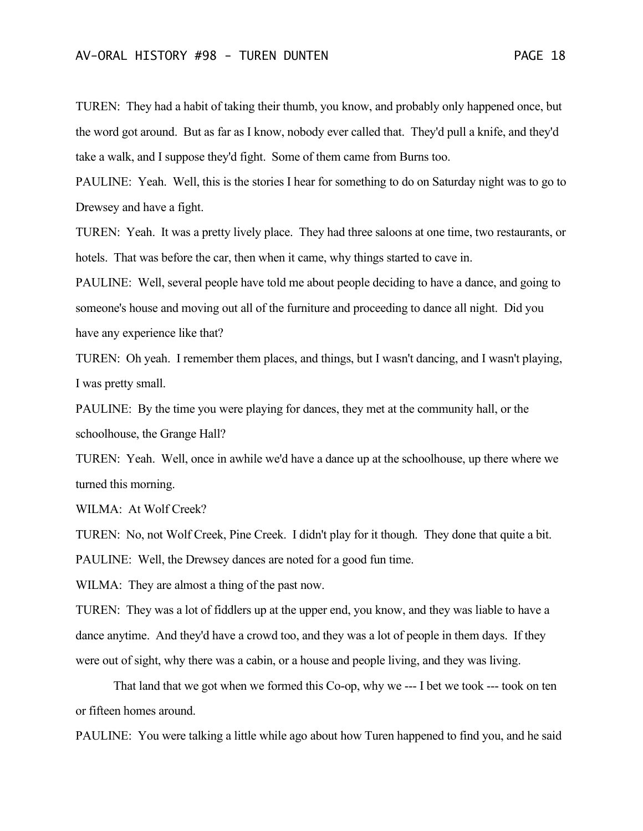TUREN: They had a habit of taking their thumb, you know, and probably only happened once, but the word got around. But as far as I know, nobody ever called that. They'd pull a knife, and they'd take a walk, and I suppose they'd fight. Some of them came from Burns too.

PAULINE: Yeah. Well, this is the stories I hear for something to do on Saturday night was to go to Drewsey and have a fight.

TUREN: Yeah. It was a pretty lively place. They had three saloons at one time, two restaurants, or hotels. That was before the car, then when it came, why things started to cave in.

PAULINE: Well, several people have told me about people deciding to have a dance, and going to someone's house and moving out all of the furniture and proceeding to dance all night. Did you have any experience like that?

TUREN: Oh yeah. I remember them places, and things, but I wasn't dancing, and I wasn't playing, I was pretty small.

PAULINE: By the time you were playing for dances, they met at the community hall, or the schoolhouse, the Grange Hall?

TUREN: Yeah. Well, once in awhile we'd have a dance up at the schoolhouse, up there where we turned this morning.

WILMA: At Wolf Creek?

TUREN: No, not Wolf Creek, Pine Creek. I didn't play for it though. They done that quite a bit. PAULINE: Well, the Drewsey dances are noted for a good fun time.

WILMA: They are almost a thing of the past now.

TUREN: They was a lot of fiddlers up at the upper end, you know, and they was liable to have a dance anytime. And they'd have a crowd too, and they was a lot of people in them days. If they were out of sight, why there was a cabin, or a house and people living, and they was living.

That land that we got when we formed this Co-op, why we --- I bet we took --- took on ten or fifteen homes around.

PAULINE: You were talking a little while ago about how Turen happened to find you, and he said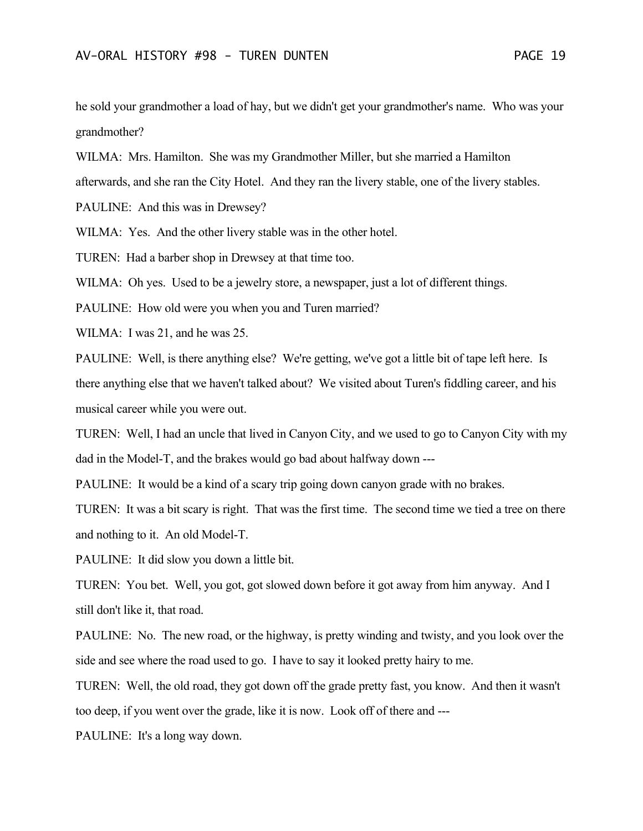he sold your grandmother a load of hay, but we didn't get your grandmother's name. Who was your grandmother?

WILMA: Mrs. Hamilton. She was my Grandmother Miller, but she married a Hamilton

afterwards, and she ran the City Hotel. And they ran the livery stable, one of the livery stables.

PAULINE: And this was in Drewsey?

WILMA: Yes. And the other livery stable was in the other hotel.

TUREN: Had a barber shop in Drewsey at that time too.

WILMA: Oh yes. Used to be a jewelry store, a newspaper, just a lot of different things.

PAULINE: How old were you when you and Turen married?

WILMA: I was 21, and he was 25.

PAULINE: Well, is there anything else? We're getting, we've got a little bit of tape left here. Is there anything else that we haven't talked about? We visited about Turen's fiddling career, and his musical career while you were out.

TUREN: Well, I had an uncle that lived in Canyon City, and we used to go to Canyon City with my dad in the Model-T, and the brakes would go bad about halfway down ---

PAULINE: It would be a kind of a scary trip going down canyon grade with no brakes.

TUREN: It was a bit scary is right. That was the first time. The second time we tied a tree on there and nothing to it. An old Model-T.

PAULINE: It did slow you down a little bit.

TUREN: You bet. Well, you got, got slowed down before it got away from him anyway. And I still don't like it, that road.

PAULINE: No. The new road, or the highway, is pretty winding and twisty, and you look over the side and see where the road used to go. I have to say it looked pretty hairy to me.

TUREN: Well, the old road, they got down off the grade pretty fast, you know. And then it wasn't too deep, if you went over the grade, like it is now. Look off of there and ---

PAULINE: It's a long way down.